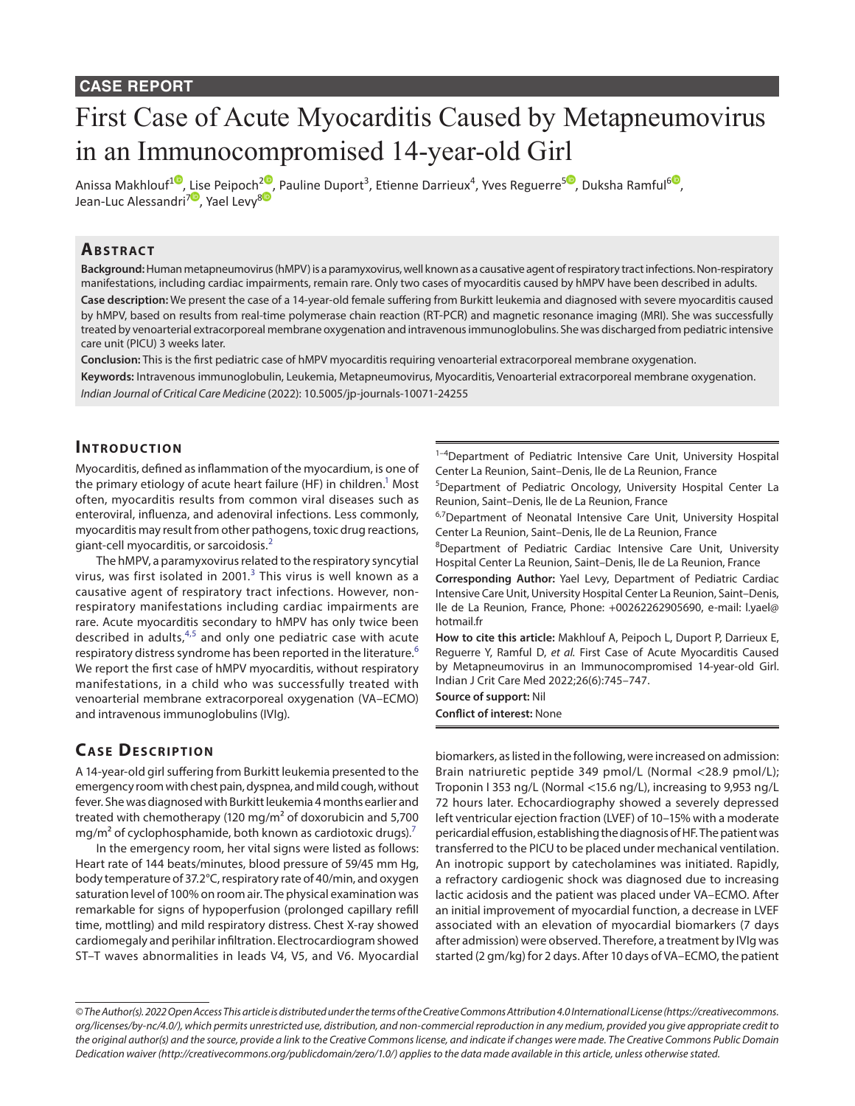# First Case of Acute Myocarditis Caused by Metapneumovirus in an Immunocompromised 14-year-old Girl

Anissa Makhlouf<sup>10</sup>[,](https://orcid.org/0000-0003-1485-2047) [Lis](https://orcid.org/0000-0001-5061-4260)e Peipoch<sup>[2](https://orcid.org/0000-0003-2080-7314)0</sup>, Pauline Duport<sup>3</sup>, Etienne Darrieux<sup>4</sup>, Yves Reguerre<sup>s0</sup>, Duksha Ramful<sup>[6](https://orcid.org/0000-0002-0289-0102)0</sup>, Jean-Luc Alessandri<sup>70</sup>, Yael Levy<sup>[8](https://orcid.org/0000-0002-5325-5838
)0</sup>

## **Ab s t rac t**

**Background:** Human metapneumovirus (hMPV) is a paramyxovirus, well known as a causative agent of respiratory tract infections. Non-respiratory manifestations, including cardiac impairments, remain rare. Only two cases of myocarditis caused by hMPV have been described in adults. **Case description:** We present the case of a 14-year-old female suffering from Burkitt leukemia and diagnosed with severe myocarditis caused by hMPV, based on results from real-time polymerase chain reaction (RT-PCR) and magnetic resonance imaging (MRI). She was successfully treated by venoarterial extracorporeal membrane oxygenation and intravenous immunoglobulins. She was discharged from pediatric intensive care unit (PICU) 3 weeks later.

**Conclusion:** This is the first pediatric case of hMPV myocarditis requiring venoarterial extracorporeal membrane oxygenation. **Keywords:** Intravenous immunoglobulin, Leukemia, Metapneumovirus, Myocarditis, Venoarterial extracorporeal membrane oxygenation. *Indian Journal of Critical Care Medicine* (2022): 10.5005/jp-journals-10071-24255

#### **INTRODUCTION**

Myocarditis, defined as inflammation of the myocardium, is one of the primary etiology of acute heart failure (HF) in children.<sup>1</sup> Most often, myocarditis results from common viral diseases such as enteroviral, influenza, and adenoviral infections. Less commonly, myocarditis may result from other pathogens, toxic drug reactions, giant-cell myocarditis, or sarcoidosis.[2](#page-2-1)

The hMPV, a paramyxovirus related to the respiratory syncytial virus, was first isolated in 2001. $^3$  $^3$  This virus is well known as a causative agent of respiratory tract infections. However, nonrespiratory manifestations including cardiac impairments are rare. Acute myocarditis secondary to hMPV has only twice been described in adults,  $4,5$  $4,5$  and only one pediatric case with acute respiratory distress syndrome has been reported in the literature.<sup>[6](#page-2-5)</sup> We report the first case of hMPV myocarditis, without respiratory manifestations, in a child who was successfully treated with venoarterial membrane extracorporeal oxygenation (VA–ECMO) and intravenous immunoglobulins (IVIg).

## **CASE DESCRIPTION**

A 14-year-old girl suffering from Burkitt leukemia presented to the emergency room with chest pain, dyspnea, and mild cough, without fever. She was diagnosed with Burkitt leukemia 4 months earlier and treated with chemotherapy (120 mg/m² of doxorubicin and 5,700 mg/m<sup>2</sup> of cyclophosphamide, both known as cardiotoxic drugs).<sup>[7](#page-2-6)</sup>

In the emergency room, her vital signs were listed as follows: Heart rate of 144 beats/minutes, blood pressure of 59/45 mm Hg, body temperature of 37.2°C, respiratory rate of 40/min, and oxygen saturation level of 100% on room air. The physical examination was remarkable for signs of hypoperfusion (prolonged capillary refill time, mottling) and mild respiratory distress. Chest X-ray showed cardiomegaly and perihilar infiltration. Electrocardiogram showed ST–T waves abnormalities in leads V4, V5, and V6. Myocardial

<sup>1-4</sup>Department of Pediatric Intensive Care Unit, University Hospital Center La Reunion, Saint–Denis, Ile de La Reunion, France

5 Department of Pediatric Oncology, University Hospital Center La Reunion, Saint–Denis, Ile de La Reunion, France

<sup>6,7</sup>Department of Neonatal Intensive Care Unit, University Hospital Center La Reunion, Saint–Denis, Ile de La Reunion, France

<sup>8</sup>Department of Pediatric Cardiac Intensive Care Unit, University Hospital Center La Reunion, Saint–Denis, Ile de La Reunion, France

**Corresponding Author:** Yael Levy, Department of Pediatric Cardiac Intensive Care Unit, University Hospital Center La Reunion, Saint–Denis, Ile de La Reunion, France, Phone: +00262262905690, e-mail: l.yael@ hotmail.fr

**How to cite this article:** Makhlouf A, Peipoch L, Duport P, Darrieux E, Reguerre Y, Ramful D, *et al.* First Case of Acute Myocarditis Caused by Metapneumovirus in an Immunocompromised 14-year-old Girl. Indian J Crit Care Med 2022;26(6):745–747.

**Source of support:** Nil **Conflict of interest:** None

biomarkers, as listed in the following, were increased on admission: Brain natriuretic peptide 349 pmol/L (Normal <28.9 pmol/L); Troponin I 353 ng/L (Normal <15.6 ng/L), increasing to 9,953 ng/L 72 hours later. Echocardiography showed a severely depressed left ventricular ejection fraction (LVEF) of 10–15% with a moderate pericardial effusion, establishing the diagnosis of HF. The patient was transferred to the PICU to be placed under mechanical ventilation. An inotropic support by catecholamines was initiated. Rapidly, a refractory cardiogenic shock was diagnosed due to increasing lactic acidosis and the patient was placed under VA–ECMO. After an initial improvement of myocardial function, a decrease in LVEF associated with an elevation of myocardial biomarkers (7 days after admission) were observed. Therefore, a treatment by IVIg was started (2 gm/kg) for 2 days. After 10 days of VA–ECMO, the patient

*<sup>©</sup> The Author(s). 2022 Open Access This article is distributed under the terms of the Creative Commons Attribution 4.0 International License ([https://creativecommons.](https://creativecommons.org/licenses/by-nc/4.0/) [org/licenses/by-nc/4.0/](https://creativecommons.org/licenses/by-nc/4.0/)), which permits unrestricted use, distribution, and non-commercial reproduction in any medium, provided you give appropriate credit to the original author(s) and the source, provide a link to the Creative Commons license, and indicate if changes were made. The Creative Commons Public Domain Dedication waiver ([http://creativecommons.org/publicdomain/zero/1.0/\)](http://creativecommons.org/publicdomain/zero/1.0/) applies to the data made available in this article, unless otherwise stated.*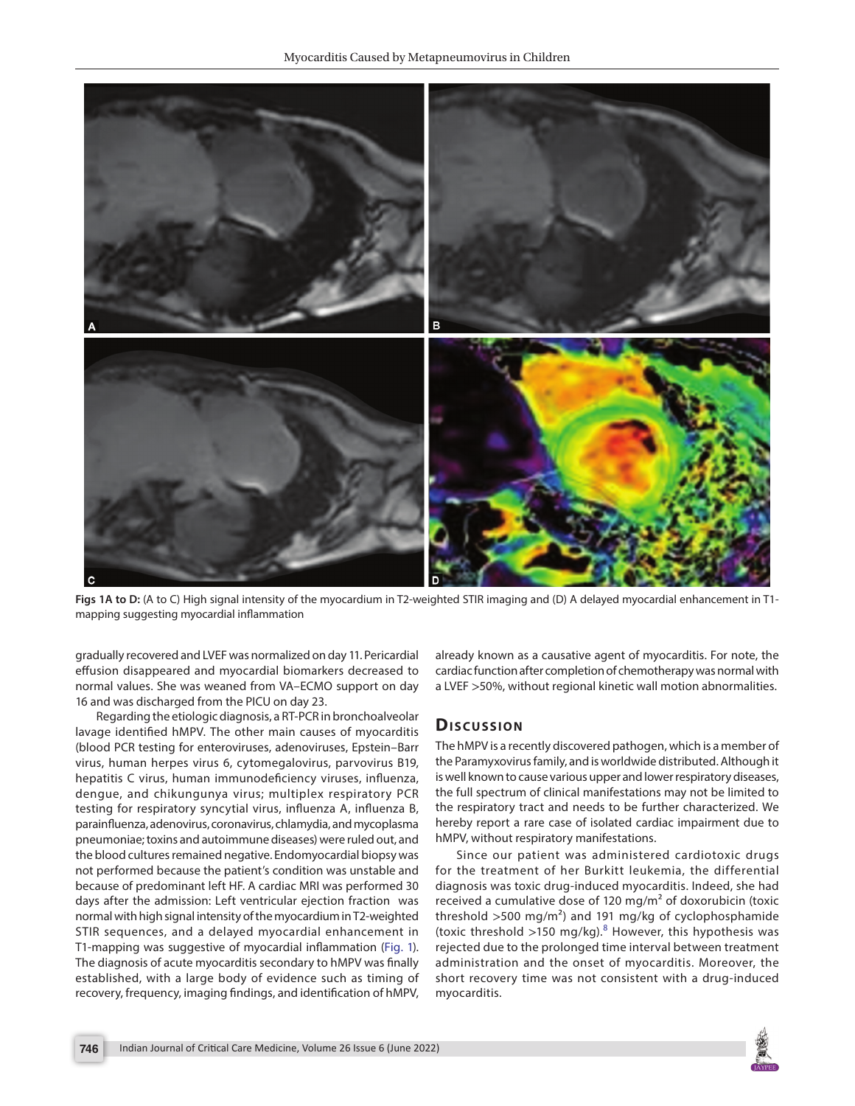

**Figs 1A to D:** (A to C) High signal intensity of the myocardium in T2-weighted STIR imaging and (D) A delayed myocardial enhancement in T1 mapping suggesting myocardial inflammation

gradually recovered and LVEF was normalized on day 11. Pericardial effusion disappeared and myocardial biomarkers decreased to normal values. She was weaned from VA–ECMO support on day 16 and was discharged from the PICU on day 23.

Regarding the etiologic diagnosis, a RT-PCR in bronchoalveolar lavage identified hMPV. The other main causes of myocarditis (blood PCR testing for enteroviruses, adenoviruses, Epstein–Barr virus, human herpes virus 6, cytomegalovirus, parvovirus B19, hepatitis C virus, human immunodeficiency viruses, influenza, dengue, and chikungunya virus; multiplex respiratory PCR testing for respiratory syncytial virus, influenza A, influenza B, parainfluenza, adenovirus, coronavirus, chlamydia, and mycoplasma pneumoniae; toxins and autoimmune diseases) were ruled out, and the blood cultures remained negative. Endomyocardial biopsy was not performed because the patient's condition was unstable and because of predominant left HF. A cardiac MRI was performed 30 days after the admission: Left ventricular ejection fraction was normal with high signal intensity of the myocardium in T2-weighted STIR sequences, and a delayed myocardial enhancement in T1-mapping was suggestive of myocardial inflammation (Fig. 1). The diagnosis of acute myocarditis secondary to hMPV was finally established, with a large body of evidence such as timing of recovery, frequency, imaging findings, and identification of hMPV, already known as a causative agent of myocarditis. For note, the cardiac function after completion of chemotherapy was normal with a LVEF >50%, without regional kinetic wall motion abnormalities.

## **Dis c u s sio n**

The hMPV is a recently discovered pathogen, which is a member of the Paramyxovirus family, and is worldwide distributed. Although it is well known to cause various upper and lower respiratory diseases, the full spectrum of clinical manifestations may not be limited to the respiratory tract and needs to be further characterized. We hereby report a rare case of isolated cardiac impairment due to hMPV, without respiratory manifestations.

Since our patient was administered cardiotoxic drugs for the treatment of her Burkitt leukemia, the differential diagnosis was toxic drug-induced myocarditis. Indeed, she had received a cumulative dose of 120 mg/m² of doxorubicin (toxic threshold  $>500 \text{ mg/m}^2$  and 191 mg/kg of cyclophosphamide (toxic threshold >150 mg/kg). $^8$  $^8$  However, this hypothesis was rejected due to the prolonged time interval between treatment administration and the onset of myocarditis. Moreover, the short recovery time was not consistent with a drug-induced myocarditis.